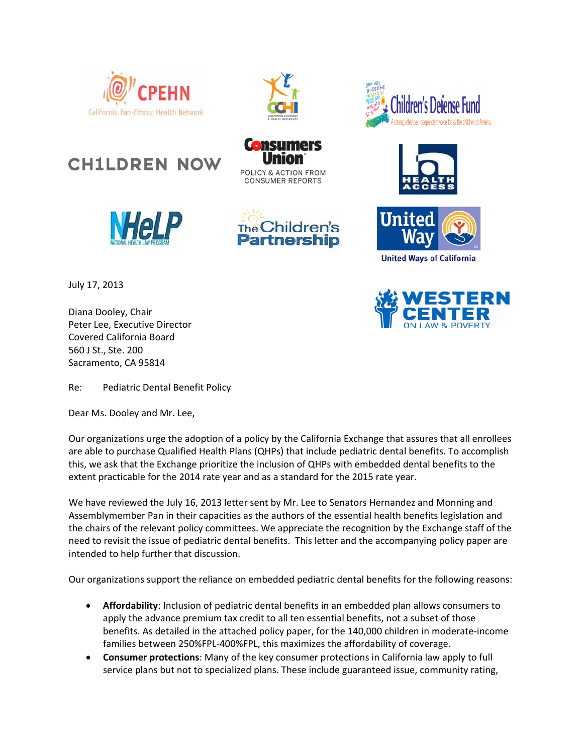

**CH1LDREN NOW** 

**HeLl** 



POLICY & ACTION FROM **CONSUMER REPORTS** 

The Children's **Partnership** 

**Ganc** 









July 17, 2013

Diana Dooley, Chair Peter Lee, Executive Director Covered California Board 560 J St., Ste. 200 Sacramento, CA 95814

Re: Pediatric Dental Benefit Policy

Dear Ms. Dooley and Mr. Lee,

Our organizations urge the adoption of a policy by the California Exchange that assures that all enrollees are able to purchase Qualified Health Plans (QHPs) that include pediatric dental benefits. To accomplish this, we ask that the Exchange prioritize the inclusion of QHPs with embedded dental benefits to the extent practicable for the 2014 rate year and as a standard for the 2015 rate year.

We have reviewed the July 16, 2013 letter sent by Mr. Lee to Senators Hernandez and Monning and Assemblymember Pan in their capacities as the authors of the essential health benefits legislation and the chairs of the relevant policy committees. We appreciate the recognition by the Exchange staff of the need to revisit the issue of pediatric dental benefits. This letter and the accompanying policy paper are intended to help further that discussion.

Our organizations support the reliance on embedded pediatric dental benefits for the following reasons:

- **Affordability**: Inclusion of pediatric dental benefits in an embedded plan allows consumers to apply the advance premium tax credit to all ten essential benefits, not a subset of those benefits. As detailed in the attached policy paper, for the 140,000 children in moderate‐income families between 250%FPL‐400%FPL, this maximizes the affordability of coverage.
- **Consumer protections**: Many of the key consumer protections in California law apply to full service plans but not to specialized plans. These include guaranteed issue, community rating,